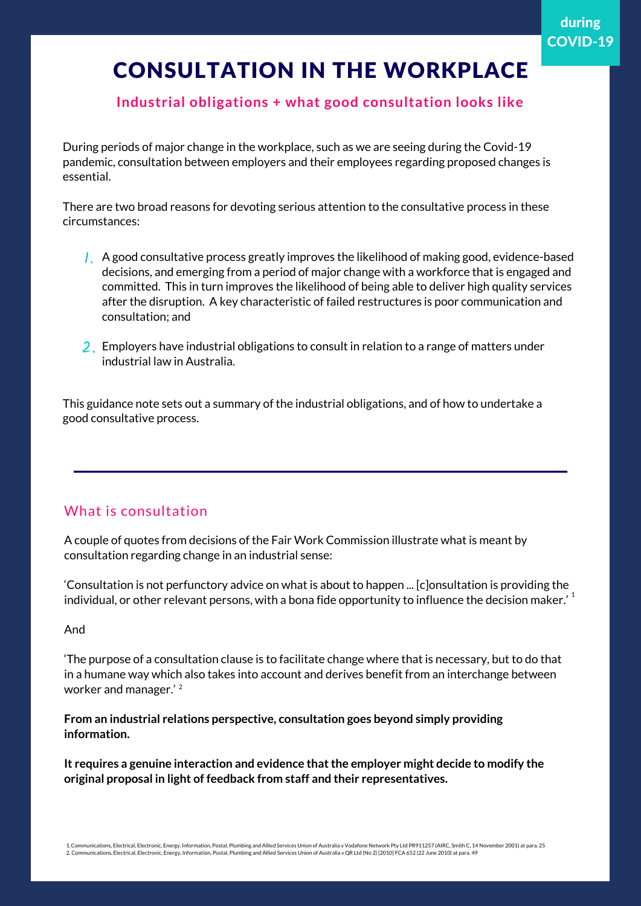### **Industrial obligations + what good consultation looks like**

During periods of major change in the workplace, such as we are seeing during the Covid-19 pandemic, consultation between employers and their employees regarding proposed changes is essential.

There are two broad reasons for devoting serious attention to the consultative process in these circumstances:

- A good consultative process greatly improves the likelihood of making good, evidence-based 1. decisions, and emerging from a period of major change with a workforce that is engaged and committed. This in turn improves the likelihood of being able to deliver high quality services after the disruption. A key characteristic of failed restructures is poor communication and consultation; and
- 2. Employers have industrial obligations to consult in relation to a range of matters under industrial law in Australia.

This guidance note sets out a summary of the industrial obligations, and of how to undertake a good consultative process.

#### What is consultation

A couple of quotes from decisions of the Fair Work Commission illustrate what is meant by consultation regarding change in an industrial sense:

'Consultation is not perfunctory advice on what is about to happen ... [c]onsultation is providing the individual, or other relevant persons, with a bona fide opportunity to influence the decision maker.'  $^{\rm 1}$ 

#### And

'The purpose of a consultation clause is to facilitate change where that is necessary, but to do that in a humane way which also takes into account and derives benefit from an interchange between worker and manager.' 2

**From an industrial relations perspective, consultation goes beyond simply providing information.**

**It requires a genuine interaction and evidence thatthe employer might decide to modify the original proposal in light of feedback from staff and their representatives.**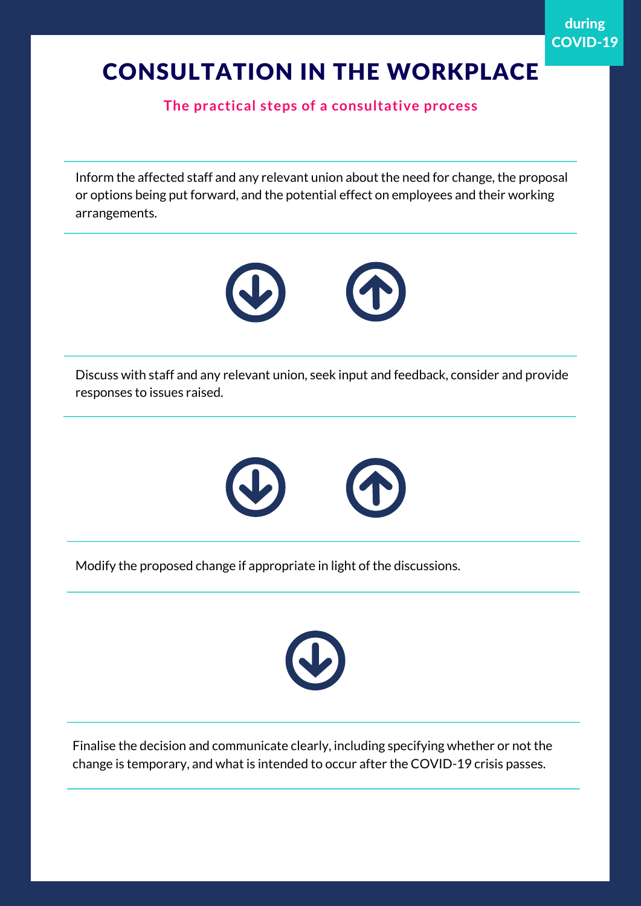**The practical steps of a consultative process**

Inform the affected staff and any relevant union about the need for change, the proposal or options being put forward, and the potential effect on employees and their working arrangements.



Discuss with staff and any relevant union, seek input and feedback, consider and provide responses to issues raised.



Modify the proposed change if appropriate in light of the discussions.



Finalise the decision and communicate clearly, including specifying whether or not the change is temporary, and what is intended to occur after the COVID-19 crisis passes.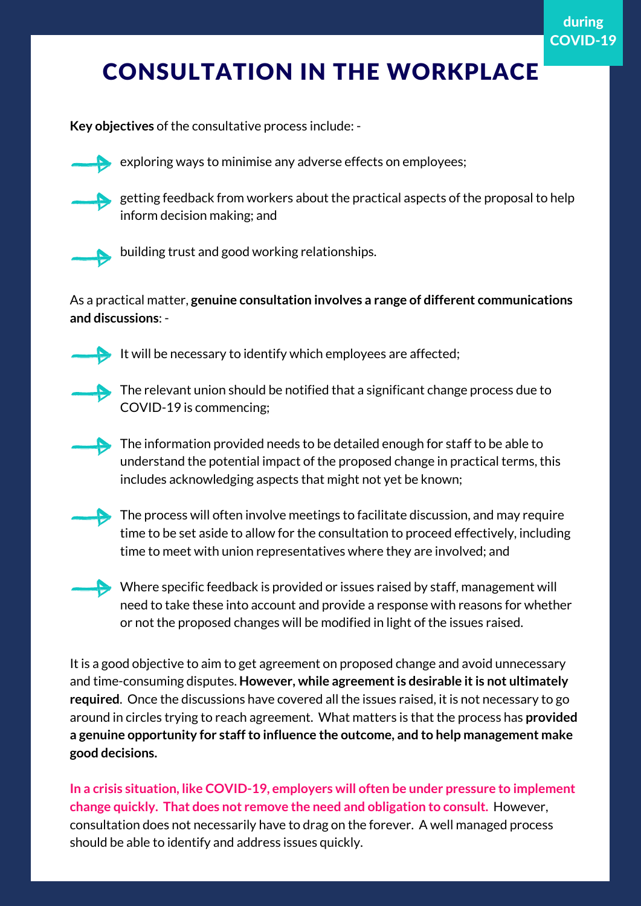**Key objectives** of the consultative process include: -



exploring ways to minimise any adverse effects on employees;



getting feedback from workers about the practical aspects of the proposal to help inform decision making; and



building trust and good working relationships.

As a practical matter, **genuine consultation involves a range of different communications and discussions**: -



It will be necessary to identify which employees are affected;



The relevant union should be notified that a significant change process due to COVID-19 is commencing;

The information provided needs to be detailed enough for staff to be able to understand the potential impact of the proposed change in practical terms, this includes acknowledging aspects that might not yet be known;



 $\blacktriangleright$  The process will often involve meetings to facilitate discussion, and may require time to be set aside to allow for the consultation to proceed effectively, including time to meet with union representatives where they are involved; and



Where specific feedback is provided or issues raised by staff, management will need to take these into account and provide a response with reasons for whether or not the proposed changes will be modified in light of the issues raised.

It is a good objective to aim to get agreement on proposed change and avoid unnecessary and time-consuming disputes. **However, while agreementis desirable itis not ultimately required**. Once the discussions have covered all the issues raised, it is not necessary to go around in circles trying to reach agreement. What matters is that the process has **provided a genuine opportunity for staffto influence the outcome, and to help management make good decisions.**

**In a crisis situation, like COVID-19, employers will often be under pressure to implement change quickly. That does not remove the need and obligation to consult.** However, consultation does not necessarily have to drag on the forever. A well managed process should be able to identify and address issues quickly.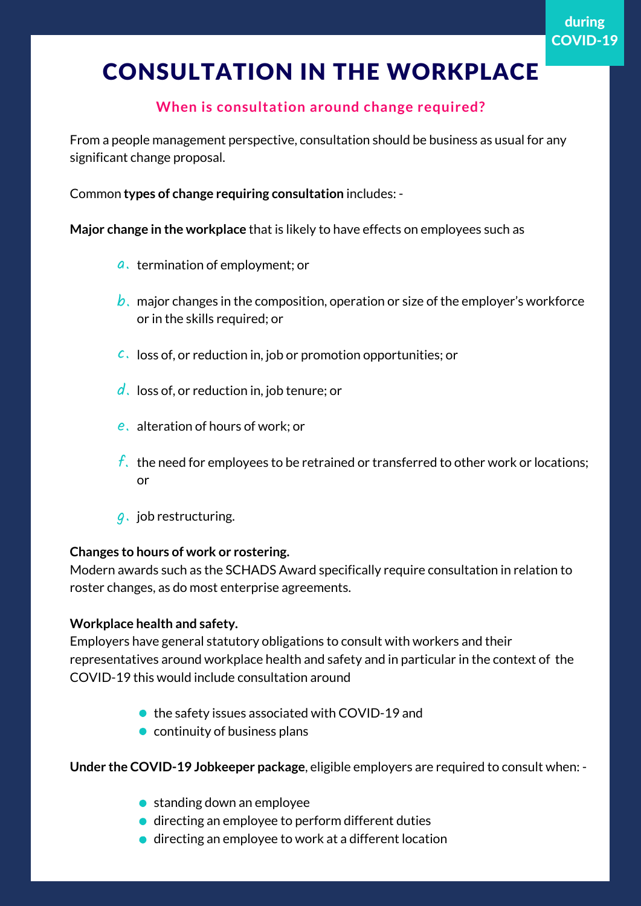### **When is consultation around change required?**

From a people management perspective, consultation should be business as usual for any significant change proposal.

Common **types of change requiring consultation** includes: -

**Major change in the workplace** that is likely to have effects on employees such as

- $\boldsymbol{a}$  , termination of employment; or
- $\bm{b}$  ,  $\,$  major changes in the composition, operation or size of the employer's workforce or in the skills required; or
- $c$ . loss of, or reduction in, job or promotion opportunities; or
- $\boldsymbol{d}$  . loss of, or reduction in, job tenure; or
- $\boldsymbol{e}$  alteration of hours of work; or
- $f_\star$  the need for employees to be retrained or transferred to other work or locations; or
- $g$ . job restructuring.

#### **Changes to hours of work or rostering.**

Modern awards such as the SCHADS Award specifically require consultation in relation to roster changes, as do most enterprise agreements.

#### **Workplace health and safety.**

Employers have general statutory obligations to consult with workers and their representatives around workplace health and safety and in particular in the context of the COVID-19 this would include consultation around

- the safety issues associated with COVID-19 and
- $\bullet$  continuity of business plans

**Under the COVID-19 Jobkeeper package**, eligible employers are required to consult when: -

- standing down an employee
- $\bullet$  directing an employee to perform different duties
- $\bullet$  directing an employee to work at a different location